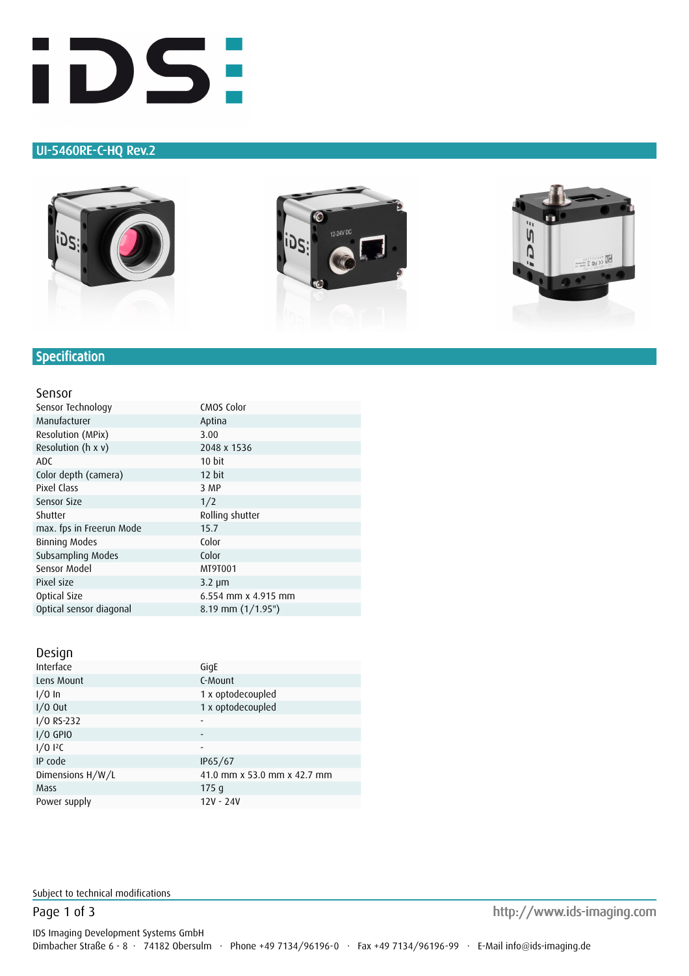

### UI-5460RE-C-HQ Rev.2







# **Specification**

#### Sensor

| Sensor Technology        | CMOS Color          |
|--------------------------|---------------------|
| Manufacturer             | Aptina              |
| Resolution (MPix)        | 3.00                |
| Resolution (h x v)       | 2048 x 1536         |
| <b>ADC</b>               | 10 bit              |
| Color depth (camera)     | 12 bit              |
| Pixel Class              | 3 MP                |
| Sensor Size              | 1/2                 |
|                          |                     |
| Shutter                  | Rolling shutter     |
| max. fps in Freerun Mode | 15.7                |
| Binning Modes            | Color               |
| Subsampling Modes        | Color               |
| Sensor Model             | MT9T001             |
| Pixel size               | $3.2 \mu m$         |
| Optical Size             | 6.554 mm x 4.915 mm |

#### Design

| Interface        | GigE                        |
|------------------|-----------------------------|
| Lens Mount       | C-Mount                     |
| $1/0$ In         | 1 x optodecoupled           |
| $1/0$ Out        | 1 x optodecoupled           |
| I/O RS-232       |                             |
| $I/O$ GPIO       |                             |
| $1/0$ $12C$      | -                           |
| IP code          | IP65/67                     |
| Dimensions H/W/L | 41.0 mm x 53.0 mm x 42.7 mm |
| Mass             | 175q                        |
| Power supply     | 12V - 24V                   |
|                  |                             |

Subject to technical modifications

Page 1 of 3 http://www.ids-imaging.com http://www.ids-imaging.com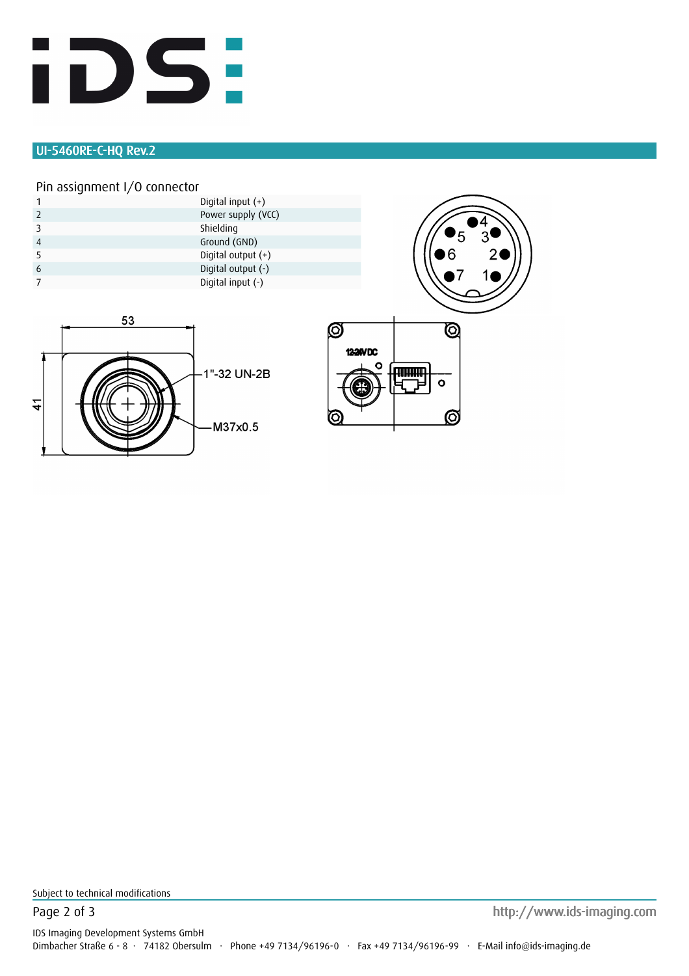

# UI-5460RE-C-HQ Rev.2

### Pin assignment I/O connector

|   |  | Digital input $(+)$  |
|---|--|----------------------|
|   |  | Power supply (VCC)   |
|   |  | Shielding            |
|   |  | Ground (GND)         |
|   |  | Digital output $(+)$ |
| 6 |  | Digital output (-)   |
|   |  | Digital input $(-)$  |
|   |  |                      |







Subject to technical modifications

Page 2 of 3 http://www.ids-imaging.com http://www.ids-imaging.com